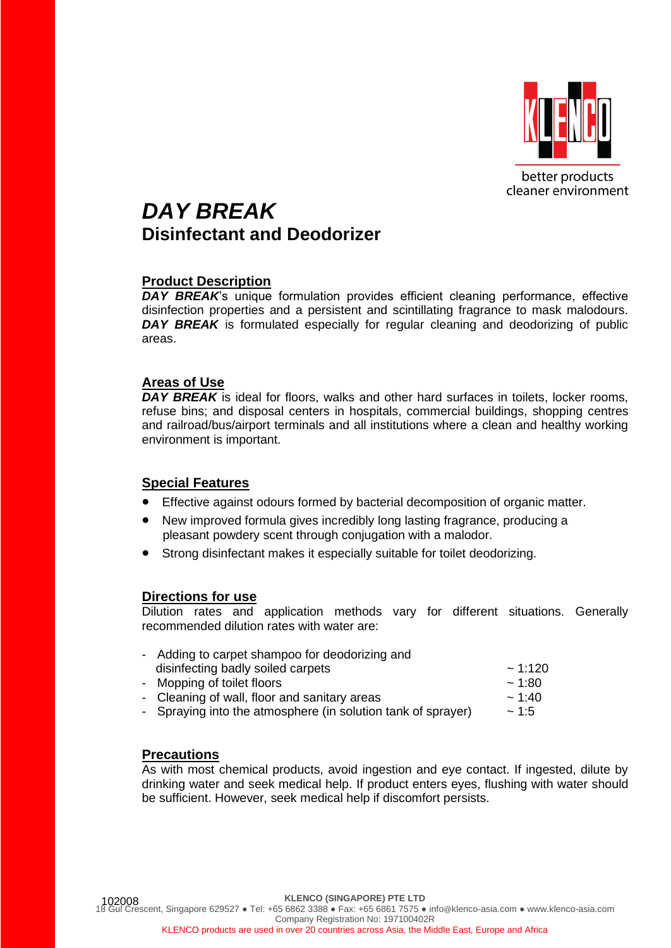

## *DAY BREAK* **Disinfectant and Deodorizer**

## **Product Description**

*DAY BREAK*'s unique formulation provides efficient cleaning performance, effective disinfection properties and a persistent and scintillating fragrance to mask malodours. **DAY BREAK** is formulated especially for regular cleaning and deodorizing of public areas.

#### **Areas of Use**

**DAY BREAK** is ideal for floors, walks and other hard surfaces in toilets, locker rooms, refuse bins; and disposal centers in hospitals, commercial buildings, shopping centres and railroad/bus/airport terminals and all institutions where a clean and healthy working environment is important.

## **Special Features**

- Effective against odours formed by bacterial decomposition of organic matter.
- New improved formula gives incredibly long lasting fragrance, producing a pleasant powdery scent through conjugation with a malodor.
- Strong disinfectant makes it especially suitable for toilet deodorizing.

#### **Directions for use**

Dilution rates and application methods vary for different situations. Generally recommended dilution rates with water are:

| - Adding to carpet shampoo for deodorizing and               |              |
|--------------------------------------------------------------|--------------|
| disinfecting badly soiled carpets                            | $\sim$ 1:120 |
| - Mopping of toilet floors                                   | ~1.80        |
| - Cleaning of wall, floor and sanitary areas                 | $\sim$ 1:40  |
| - Spraying into the atmosphere (in solution tank of sprayer) | ~1.5         |
|                                                              |              |

## **Precautions**

As with most chemical products, avoid ingestion and eye contact. If ingested, dilute by drinking water and seek medical help. If product enters eyes, flushing with water should be sufficient. However, seek medical help if discomfort persists.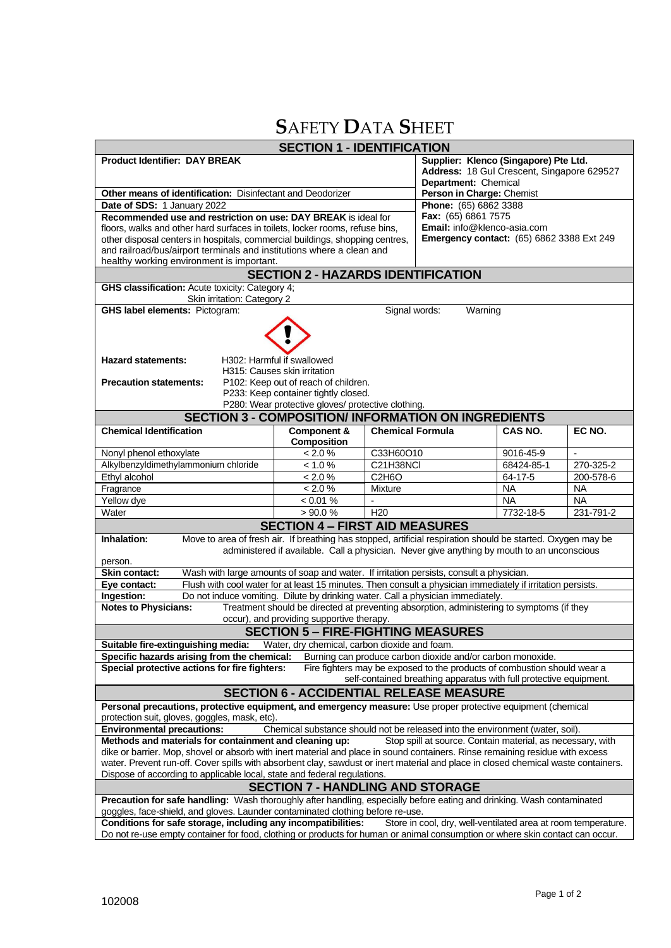# **S**AFETY **D**ATA **S**HEET

| <b>SECTION 1 - IDENTIFICATION</b>                                                                                                                                                                                                                                                                                                                                                           |                                                                                                                                                                                                                  |                                                                                                             |                                                                          |                        |                        |  |  |
|---------------------------------------------------------------------------------------------------------------------------------------------------------------------------------------------------------------------------------------------------------------------------------------------------------------------------------------------------------------------------------------------|------------------------------------------------------------------------------------------------------------------------------------------------------------------------------------------------------------------|-------------------------------------------------------------------------------------------------------------|--------------------------------------------------------------------------|------------------------|------------------------|--|--|
| <b>Product Identifier: DAY BREAK</b>                                                                                                                                                                                                                                                                                                                                                        |                                                                                                                                                                                                                  | Supplier: Klenco (Singapore) Pte Ltd.<br>Address: 18 Gul Crescent, Singapore 629527<br>Department: Chemical |                                                                          |                        |                        |  |  |
| Other means of identification: Disinfectant and Deodorizer                                                                                                                                                                                                                                                                                                                                  | Person in Charge: Chemist                                                                                                                                                                                        |                                                                                                             |                                                                          |                        |                        |  |  |
| Date of SDS: 1 January 2022                                                                                                                                                                                                                                                                                                                                                                 | Phone: (65) 6862 3388                                                                                                                                                                                            |                                                                                                             |                                                                          |                        |                        |  |  |
| Recommended use and restriction on use: DAY BREAK is ideal for                                                                                                                                                                                                                                                                                                                              | Fax: (65) 6861 7575<br>Email: info@klenco-asia.com                                                                                                                                                               |                                                                                                             |                                                                          |                        |                        |  |  |
| floors, walks and other hard surfaces in toilets, locker rooms, refuse bins,<br>other disposal centers in hospitals, commercial buildings, shopping centres,                                                                                                                                                                                                                                | <b>Emergency contact:</b> (65) 6862 3388 Ext 249                                                                                                                                                                 |                                                                                                             |                                                                          |                        |                        |  |  |
| and railroad/bus/airport terminals and institutions where a clean and                                                                                                                                                                                                                                                                                                                       |                                                                                                                                                                                                                  |                                                                                                             |                                                                          |                        |                        |  |  |
| healthy working environment is important.                                                                                                                                                                                                                                                                                                                                                   |                                                                                                                                                                                                                  |                                                                                                             |                                                                          |                        |                        |  |  |
| <b>SECTION 2 - HAZARDS IDENTIFICATION</b>                                                                                                                                                                                                                                                                                                                                                   |                                                                                                                                                                                                                  |                                                                                                             |                                                                          |                        |                        |  |  |
| GHS classification: Acute toxicity: Category 4;<br>Skin irritation: Category 2                                                                                                                                                                                                                                                                                                              |                                                                                                                                                                                                                  |                                                                                                             |                                                                          |                        |                        |  |  |
| <b>GHS label elements: Pictogram:</b>                                                                                                                                                                                                                                                                                                                                                       |                                                                                                                                                                                                                  | Signal words:                                                                                               | Warning                                                                  |                        |                        |  |  |
|                                                                                                                                                                                                                                                                                                                                                                                             |                                                                                                                                                                                                                  |                                                                                                             |                                                                          |                        |                        |  |  |
| <b>Hazard statements:</b><br>H302: Harmful if swallowed<br>H315: Causes skin irritation<br><b>Precaution statements:</b><br>P102: Keep out of reach of children.<br>P233: Keep container tightly closed.                                                                                                                                                                                    |                                                                                                                                                                                                                  |                                                                                                             |                                                                          |                        |                        |  |  |
|                                                                                                                                                                                                                                                                                                                                                                                             | P280: Wear protective gloves/ protective clothing.                                                                                                                                                               |                                                                                                             |                                                                          |                        |                        |  |  |
| <b>SECTION 3 - COMPOSITION/ INFORMATION ON INGREDIENTS</b>                                                                                                                                                                                                                                                                                                                                  |                                                                                                                                                                                                                  |                                                                                                             |                                                                          |                        |                        |  |  |
| <b>Chemical Identification</b>                                                                                                                                                                                                                                                                                                                                                              | Component &<br><b>Composition</b>                                                                                                                                                                                | <b>Chemical Formula</b>                                                                                     |                                                                          | CAS NO.                | EC NO.                 |  |  |
| Nonyl phenol ethoxylate                                                                                                                                                                                                                                                                                                                                                                     | < 2.0 %                                                                                                                                                                                                          | C33H60O10                                                                                                   |                                                                          | 9016-45-9              | $\blacksquare$         |  |  |
| Alkylbenzyldimethylammonium chloride                                                                                                                                                                                                                                                                                                                                                        | < 1.0 %                                                                                                                                                                                                          | C21H38NCI                                                                                                   |                                                                          | 68424-85-1             | 270-325-2              |  |  |
| Ethyl alcohol                                                                                                                                                                                                                                                                                                                                                                               | < 2.0 %                                                                                                                                                                                                          | C <sub>2</sub> H <sub>6</sub> O                                                                             |                                                                          | 64-17-5                | 200-578-6              |  |  |
| Fragrance                                                                                                                                                                                                                                                                                                                                                                                   | < 2.0 %                                                                                                                                                                                                          | Mixture                                                                                                     |                                                                          | <b>NA</b>              | <b>NA</b>              |  |  |
| Yellow dye<br>Water                                                                                                                                                                                                                                                                                                                                                                         | $< 0.01 \%$<br>$> 90.0 \%$                                                                                                                                                                                       |                                                                                                             |                                                                          | <b>NA</b><br>7732-18-5 | <b>NA</b><br>231-791-2 |  |  |
|                                                                                                                                                                                                                                                                                                                                                                                             |                                                                                                                                                                                                                  | H <sub>20</sub>                                                                                             |                                                                          |                        |                        |  |  |
| <b>SECTION 4 - FIRST AID MEASURES</b><br>Move to area of fresh air. If breathing has stopped, artificial respiration should be started. Oxygen may be<br>Inhalation:<br>administered if available. Call a physician. Never give anything by mouth to an unconscious<br>person.                                                                                                              |                                                                                                                                                                                                                  |                                                                                                             |                                                                          |                        |                        |  |  |
| <b>Skin contact:</b><br>Wash with large amounts of soap and water. If irritation persists, consult a physician.                                                                                                                                                                                                                                                                             |                                                                                                                                                                                                                  |                                                                                                             |                                                                          |                        |                        |  |  |
| Flush with cool water for at least 15 minutes. Then consult a physician immediately if irritation persists.<br>Eye contact:                                                                                                                                                                                                                                                                 |                                                                                                                                                                                                                  |                                                                                                             |                                                                          |                        |                        |  |  |
| Ingestion:<br>Do not induce vomiting. Dilute by drinking water. Call a physician immediately.                                                                                                                                                                                                                                                                                               |                                                                                                                                                                                                                  |                                                                                                             |                                                                          |                        |                        |  |  |
| <b>Notes to Physicians:</b><br>Treatment should be directed at preventing absorption, administering to symptoms (if they                                                                                                                                                                                                                                                                    |                                                                                                                                                                                                                  |                                                                                                             |                                                                          |                        |                        |  |  |
| occur), and providing supportive therapy.<br><b>SECTION 5 - FIRE-FIGHTING MEASURES</b>                                                                                                                                                                                                                                                                                                      |                                                                                                                                                                                                                  |                                                                                                             |                                                                          |                        |                        |  |  |
| Suitable fire-extinguishing media: Water, dry chemical, carbon dioxide and foam.                                                                                                                                                                                                                                                                                                            |                                                                                                                                                                                                                  |                                                                                                             |                                                                          |                        |                        |  |  |
| Specific hazards arising from the chemical:                                                                                                                                                                                                                                                                                                                                                 |                                                                                                                                                                                                                  |                                                                                                             | Burning can produce carbon dioxide and/or carbon monoxide.               |                        |                        |  |  |
| Special protective actions for fire fighters:                                                                                                                                                                                                                                                                                                                                               |                                                                                                                                                                                                                  |                                                                                                             | Fire fighters may be exposed to the products of combustion should wear a |                        |                        |  |  |
|                                                                                                                                                                                                                                                                                                                                                                                             |                                                                                                                                                                                                                  |                                                                                                             | self-contained breathing apparatus with full protective equipment.       |                        |                        |  |  |
|                                                                                                                                                                                                                                                                                                                                                                                             | <b>SECTION 6 - ACCIDENTIAL RELEASE MEASURE</b>                                                                                                                                                                   |                                                                                                             |                                                                          |                        |                        |  |  |
| Personal precautions, protective equipment, and emergency measure: Use proper protective equipment (chemical<br>protection suit, gloves, goggles, mask, etc).                                                                                                                                                                                                                               |                                                                                                                                                                                                                  |                                                                                                             |                                                                          |                        |                        |  |  |
| Chemical substance should not be released into the environment (water, soil).<br><b>Environmental precautions:</b>                                                                                                                                                                                                                                                                          |                                                                                                                                                                                                                  |                                                                                                             |                                                                          |                        |                        |  |  |
| Methods and materials for containment and cleaning up:<br>Stop spill at source. Contain material, as necessary, with<br>dike or barrier. Mop, shovel or absorb with inert material and place in sound containers. Rinse remaining residue with excess<br>water. Prevent run-off. Cover spills with absorbent clay, sawdust or inert material and place in closed chemical waste containers. |                                                                                                                                                                                                                  |                                                                                                             |                                                                          |                        |                        |  |  |
| Dispose of according to applicable local, state and federal regulations.                                                                                                                                                                                                                                                                                                                    |                                                                                                                                                                                                                  |                                                                                                             |                                                                          |                        |                        |  |  |
| <b>SECTION 7 - HANDLING AND STORAGE</b><br>Precaution for safe handling: Wash thoroughly after handling, especially before eating and drinking. Wash contaminated                                                                                                                                                                                                                           |                                                                                                                                                                                                                  |                                                                                                             |                                                                          |                        |                        |  |  |
|                                                                                                                                                                                                                                                                                                                                                                                             | goggles, face-shield, and gloves. Launder contaminated clothing before re-use.<br>Store in cool, dry, well-ventilated area at room temperature.<br>Conditions for safe storage, including any incompatibilities: |                                                                                                             |                                                                          |                        |                        |  |  |
| Do not re-use empty container for food, clothing or products for human or animal consumption or where skin contact can occur.                                                                                                                                                                                                                                                               |                                                                                                                                                                                                                  |                                                                                                             |                                                                          |                        |                        |  |  |